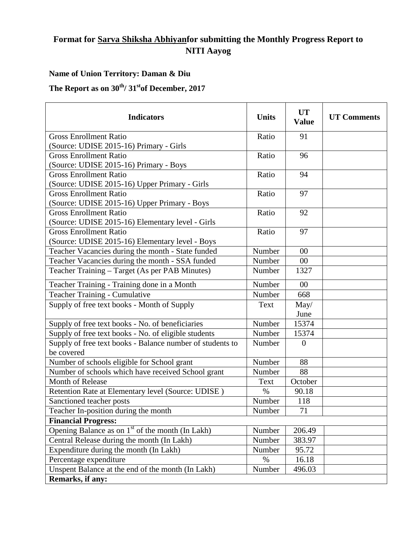## **Format for Sarva Shiksha Abhiyanfor submitting the Monthly Progress Report to NITI Aayog**

## **Name of Union Territory: Daman & Diu**

The Report as on  $30^{th}$ /  $31^{st}$ of December, 2017

| <b>Indicators</b>                                            | <b>Units</b> | <b>UT</b><br><b>Value</b> | <b>UT Comments</b> |
|--------------------------------------------------------------|--------------|---------------------------|--------------------|
| <b>Gross Enrollment Ratio</b>                                | Ratio        | 91                        |                    |
| (Source: UDISE 2015-16) Primary - Girls                      |              |                           |                    |
| <b>Gross Enrollment Ratio</b>                                | Ratio        | 96                        |                    |
| (Source: UDISE 2015-16) Primary - Boys                       |              |                           |                    |
| <b>Gross Enrollment Ratio</b>                                | Ratio        | 94                        |                    |
| (Source: UDISE 2015-16) Upper Primary - Girls                |              |                           |                    |
| <b>Gross Enrollment Ratio</b>                                | Ratio        | 97                        |                    |
| (Source: UDISE 2015-16) Upper Primary - Boys                 |              |                           |                    |
| <b>Gross Enrollment Ratio</b>                                | Ratio        | 92                        |                    |
| (Source: UDISE 2015-16) Elementary level - Girls             |              |                           |                    |
| <b>Gross Enrollment Ratio</b>                                | Ratio        | 97                        |                    |
| (Source: UDISE 2015-16) Elementary level - Boys              |              |                           |                    |
| Teacher Vacancies during the month - State funded            | Number       | 00                        |                    |
| Teacher Vacancies during the month - SSA funded              | Number       | 00                        |                    |
| Teacher Training - Target (As per PAB Minutes)               | Number       | 1327                      |                    |
| Teacher Training - Training done in a Month                  | Number       | 00                        |                    |
| Teacher Training - Cumulative                                | Number       | 668                       |                    |
| Supply of free text books - Month of Supply                  | Text         | May/                      |                    |
|                                                              |              | June                      |                    |
| Supply of free text books - No. of beneficiaries             | Number       | 15374                     |                    |
| Supply of free text books - No. of eligible students         | Number       | 15374                     |                    |
| Supply of free text books - Balance number of students to    | Number       | $\theta$                  |                    |
| be covered                                                   |              |                           |                    |
| Number of schools eligible for School grant                  | Number       | 88                        |                    |
| Number of schools which have received School grant           | Number       | 88                        |                    |
| Month of Release                                             | Text         | October                   |                    |
| Retention Rate at Elementary level (Source: UDISE)           | $\%$         | 90.18                     |                    |
| Sanctioned teacher posts                                     | Number       | 118                       |                    |
| Teacher In-position during the month                         | Number       | 71                        |                    |
| <b>Financial Progress:</b>                                   |              |                           |                    |
| Opening Balance as on 1 <sup>st</sup> of the month (In Lakh) | Number       | 206.49                    |                    |
| Central Release during the month (In Lakh)                   | Number       | 383.97                    |                    |
| Expenditure during the month (In Lakh)                       | Number       | 95.72                     |                    |
| Percentage expenditure                                       | $\%$         | 16.18                     |                    |
| Unspent Balance at the end of the month (In Lakh)            | Number       | 496.03                    |                    |
| Remarks, if any:                                             |              |                           |                    |